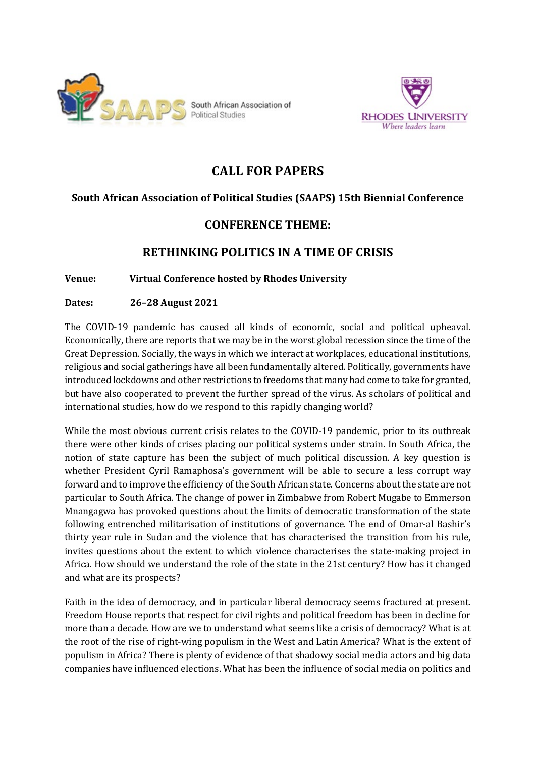



# **CALL FOR PAPERS**

# **South African Association of Political Studies (SAAPS) 15th Biennial Conference**

# **CONFERENCE THEME:**

# **RETHINKING POLITICS IN A TIME OF CRISIS**

# **Venue: Virtual Conference hosted by Rhodes University**

# **Dates: 26–28 August 2021**

The COVID-19 pandemic has caused all kinds of economic, social and political upheaval. Economically, there are reports that we may be in the worst global recession since the time of the Great Depression. Socially, the ways in which we interact at workplaces, educational institutions, religious and social gatherings have all been fundamentally altered. Politically, governments have introduced lockdowns and other restrictions to freedoms that many had come to take for granted, but have also cooperated to prevent the further spread of the virus. As scholars of political and international studies, how do we respond to this rapidly changing world?

While the most obvious current crisis relates to the COVID-19 pandemic, prior to its outbreak there were other kinds of crises placing our political systems under strain. In South Africa, the notion of state capture has been the subject of much political discussion. A key question is whether President Cyril Ramaphosa's government will be able to secure a less corrupt way forward and to improve the efficiency of the South African state. Concerns about the state are not particular to South Africa. The change of power in Zimbabwe from Robert Mugabe to Emmerson Mnangagwa has provoked questions about the limits of democratic transformation of the state following entrenched militarisation of institutions of governance. The end of Omar-al Bashir's thirty year rule in Sudan and the violence that has characterised the transition from his rule, invites questions about the extent to which violence characterises the state-making project in Africa. How should we understand the role of the state in the 21st century? How has it changed and what are its prospects?

Faith in the idea of democracy, and in particular liberal democracy seems fractured at present. Freedom House reports that respect for civil rights and political freedom has been in decline for more than a decade. How are we to understand what seems like a crisis of democracy? What is at the root of the rise of right-wing populism in the West and Latin America? What is the extent of populism in Africa? There is plenty of evidence of that shadowy social media actors and big data companies have influenced elections. What has been the influence of social media on politics and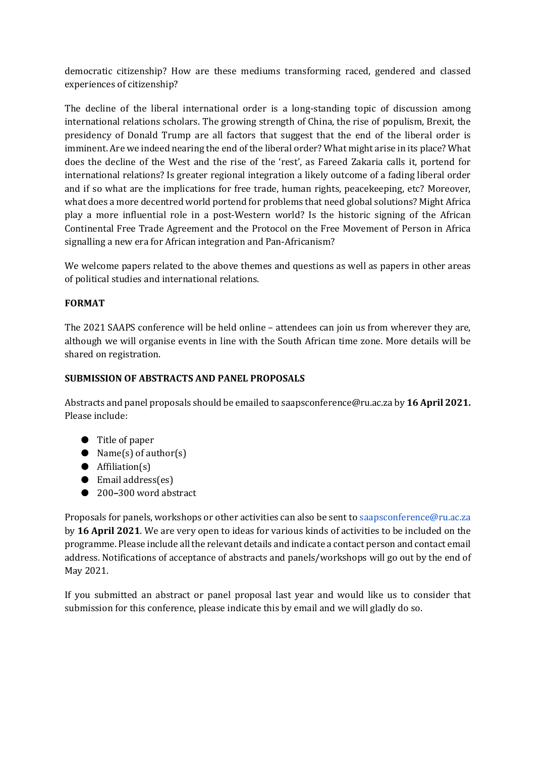democratic citizenship? How are these mediums transforming raced, gendered and classed experiences of citizenship?

The decline of the liberal international order is a long-standing topic of discussion among international relations scholars. The growing strength of China, the rise of populism, Brexit, the presidency of Donald Trump are all factors that suggest that the end of the liberal order is imminent. Are we indeed nearing the end of the liberal order? What might arise in its place? What does the decline of the West and the rise of the 'rest', as Fareed Zakaria calls it, portend for international relations? Is greater regional integration a likely outcome of a fading liberal order and if so what are the implications for free trade, human rights, peacekeeping, etc? Moreover, what does a more decentred world portend for problems that need global solutions? Might Africa play a more influential role in a post-Western world? Is the historic signing of the African Continental Free Trade Agreement and the Protocol on the Free Movement of Person in Africa signalling a new era for African integration and Pan-Africanism?

We welcome papers related to the above themes and questions as well as papers in other areas of political studies and international relations.

# **FORMAT**

The 2021 SAAPS conference will be held online – attendees can join us from wherever they are, although we will organise events in line with the South African time zone. More details will be shared on registration.

# **SUBMISSION OF ABSTRACTS AND PANEL PROPOSALS**

Abstracts and panel proposals should be emailed to saapsconference@ru.ac.za by **16 April 2021.**  Please include:

- Title of paper
- Name(s) of author(s)
- Affiliation(s)
- Email address(es)
- 200–300 word abstract

Proposals for panels, workshops or other activities can also be sent to saapsconference@ru.ac.za by **16 April 2021**. We are very open to ideas for various kinds of activities to be included on the programme. Please include all the relevant details and indicate a contact person and contact email address. Notifications of acceptance of abstracts and panels/workshops will go out by the end of May 2021.

If you submitted an abstract or panel proposal last year and would like us to consider that submission for this conference, please indicate this by email and we will gladly do so.